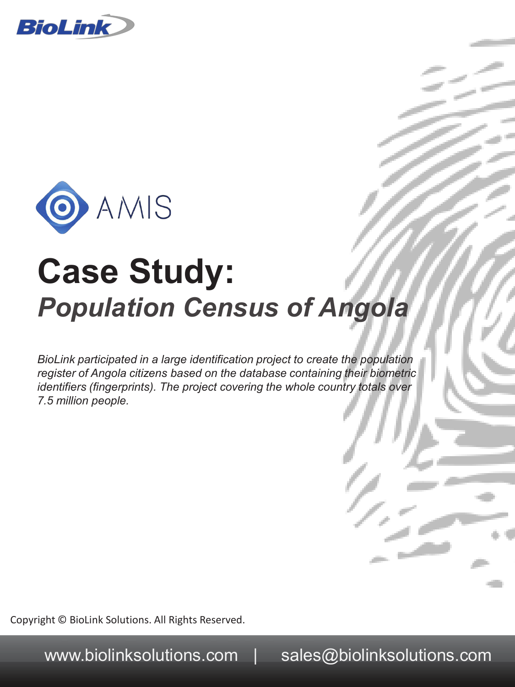



## **Case Study:**  *Population Census of Angola*

*BioLink participated in a large identification project to create the population register of Angola citizens based on the database containing their biometric identifiers (fingerprints). The project covering the whole country totals over 7.5 million people.* 

Copyright © BioLink Solutions. All Rights Reserved.

www.biolinksolutions.com | sales@biolinksolutions.com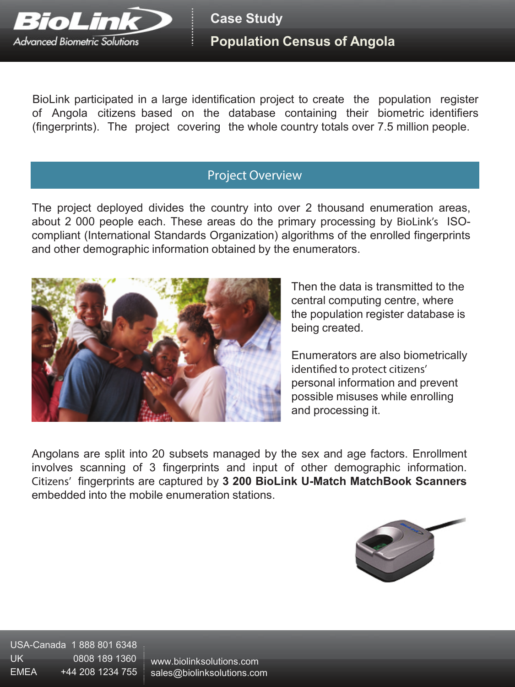

BioLink participated in a large identification project to create the population register of Angola citizens based on the database containing their biometric identifiers (fingerprints). The project covering the whole country totals over 7.5 million people.

## **Project Overview**

The project deployed divides the country into over 2 thousand enumeration areas, about 2 000 people each. These areas do the primary processing by BioLink's ISOcompliant (International Standards Organization) algorithms of the enrolled fingerprints and other demographic information obtained by the enumerators.



Then the data is transmitted to the central computing centre, where the population register database is being created.

Enumerators are also biometrically identified to protect citizens' personal information and prevent possible misuses while enrolling and processing it.

Angolans are split into 20 subsets managed by the sex and age factors. Enrollment involves scanning of 3 fingerprints and input of other demographic information. Citizens' fingerprints are captured by **3 200 BioLink U-Match MatchBook Scanners**  embedded into the mobile enumeration stations.



USA-Canada 1 888 801 6348 UK 0808 189 1360 EMEA +44 208 1234 755

www.biolinksolutions.com sales@biolinksolutions.com